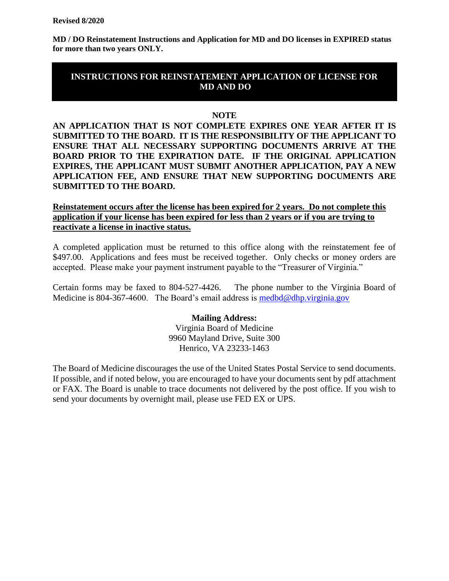**MD / DO Reinstatement Instructions and Application for MD and DO licenses in EXPIRED status for more than two years ONLY.** 

# **INSTRUCTIONS FOR REINSTATEMENT APPLICATION OF LICENSE FOR MD AND DO**

### **NOTE**

**AN APPLICATION THAT IS NOT COMPLETE EXPIRES ONE YEAR AFTER IT IS SUBMITTED TO THE BOARD. IT IS THE RESPONSIBILITY OF THE APPLICANT TO ENSURE THAT ALL NECESSARY SUPPORTING DOCUMENTS ARRIVE AT THE BOARD PRIOR TO THE EXPIRATION DATE. IF THE ORIGINAL APPLICATION EXPIRES, THE APPLICANT MUST SUBMIT ANOTHER APPLICATION, PAY A NEW APPLICATION FEE, AND ENSURE THAT NEW SUPPORTING DOCUMENTS ARE SUBMITTED TO THE BOARD.** 

## **Reinstatement occurs after the license has been expired for 2 years. Do not complete this application if your license has been expired for less than 2 years or if you are trying to reactivate a license in inactive status.**

A completed application must be returned to this office along with the reinstatement fee of \$497.00. Applications and fees must be received together. Only checks or money orders are accepted. Please make your payment instrument payable to the "Treasurer of Virginia."

Certain forms may be faxed to 804-527-4426. The phone number to the Virginia Board of Medicine is 804-367-4600. The Board's email address is medbd@dhp.virginia.gov

> **Mailing Address:** Virginia Board of Medicine 9960 Mayland Drive, Suite 300 Henrico, VA 23233-1463

The Board of Medicine discourages the use of the United States Postal Service to send documents. If possible, and if noted below, you are encouraged to have your documents sent by pdf attachment or FAX. The Board is unable to trace documents not delivered by the post office. If you wish to send your documents by overnight mail, please use FED EX or UPS.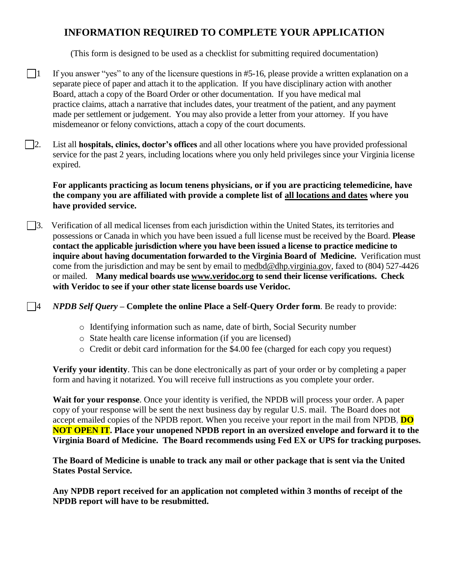# **INFORMATION REQUIRED TO COMPLETE YOUR APPLICATION**

(This form is designed to be used as a checklist for submitting required documentation)

- $\Box$  If you answer "yes" to any of the licensure questions in #5-16, please provide a written explanation on a separate piece of paper and attach it to the application. If you have disciplinary action with another Board, attach a copy of the Board Order or other documentation. If you have medical mal practice claims, attach a narrative that includes dates, your treatment of the patient, and any payment made per settlement or judgement. You may also provide a letter from your attorney. If you have misdemeanor or felony convictions, attach a copy of the court documents.
- 2. List all **hospitals, clinics, doctor's offices** and all other locations where you have provided professional service for the past 2 years, including locations where you only held privileges since your Virginia license expired.

**For applicants practicing as locum tenens physicians, or if you are practicing telemedicine, have the company you are affiliated with provide a complete list of all locations and dates where you have provided service.** 

3. Verification of all medical licenses from each jurisdiction within the United States, its territories and possessions or Canada in which you have been issued a full license must be received by the Board. **Please contact the applicable jurisdiction where you have been issued a license to practice medicine to inquire about having documentation forwarded to the Virginia Board of Medicine.** Verification must come from the jurisdiction and may be sent by email to [medbd@dhp.virginia.gov,](mailto:medbd@dhp.virginia.gov) faxed to (804) 527-4426 or mailed. **Many medical boards use [www.veridoc.org](http://www.veridoc.org/) to send their license verifications. Check with Veridoc to see if your other state license boards use Veridoc.** 

4 *NPDB Self Query –* **Complete the online [Place a Self-Query Order](https://www.npdb.hrsa.gov/ext/selfquery/SQHome.jsp) form**. Be ready to provide:

- o Identifying information such as name, date of birth, Social Security number
- o State health care license information (if you are licensed)
- o Credit or debit card information for the \$4.00 fee (charged for each copy you request)

**Verify your identity**. This can be done electronically as part of your order or by completing a paper form and having it notarized. You will receive full instructions as you complete your order.

**Wait for your response**. Once your identity is verified, the NPDB will process your order. A paper copy of your response will be sent the next business day by regular U.S. mail. The Board does not accept emailed copies of the NPDB report. When you receive your report in the mail from NPDB, **DO NOT OPEN IT. Place your unopened NPDB report in an oversized envelope and forward it to the Virginia Board of Medicine. The Board recommends using Fed EX or UPS for tracking purposes.** 

**The Board of Medicine is unable to track any mail or other package that is sent via the United States Postal Service.**

**Any NPDB report received for an application not completed within 3 months of receipt of the NPDB report will have to be resubmitted.**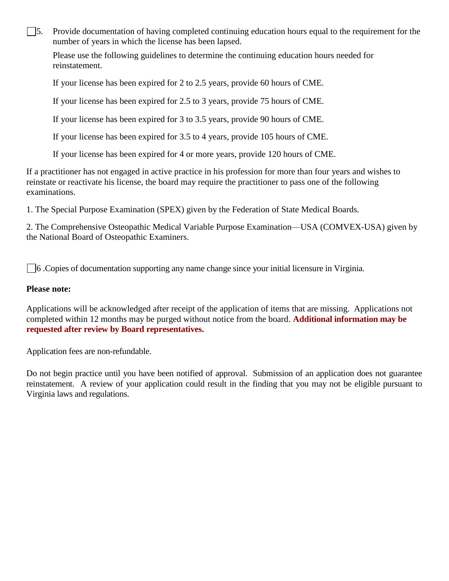$\Box$ 5. Provide documentation of having completed continuing education hours equal to the requirement for the number of years in which the license has been lapsed.

Please use the following guidelines to determine the continuing education hours needed for reinstatement.

If your license has been expired for 2 to 2.5 years, provide 60 hours of CME.

If your license has been expired for 2.5 to 3 years, provide 75 hours of CME.

If your license has been expired for 3 to 3.5 years, provide 90 hours of CME.

If your license has been expired for 3.5 to 4 years, provide 105 hours of CME.

If your license has been expired for 4 or more years, provide 120 hours of CME.

If a practitioner has not engaged in active practice in his profession for more than four years and wishes to reinstate or reactivate his license, the board may require the practitioner to pass one of the following examinations.

1. The Special Purpose Examination (SPEX) given by the Federation of State Medical Boards.

2. The Comprehensive Osteopathic Medical Variable Purpose Examination—USA (COMVEX-USA) given by the National Board of Osteopathic Examiners.

 $\Box$ 6 .Copies of documentation supporting any name change since your initial licensure in Virginia.

## **Please note:**

Applications will be acknowledged after receipt of the application of items that are missing. Applications not completed within 12 months may be purged without notice from the board. **Additional information may be requested after review by Board representatives.**

Application fees are non-refundable.

Do not begin practice until you have been notified of approval. Submission of an application does not guarantee reinstatement. A review of your application could result in the finding that you may not be eligible pursuant to Virginia laws and regulations.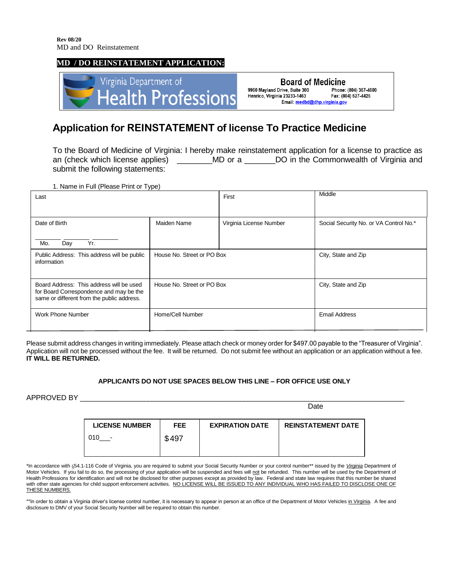#### **MD / DO REINSTATEMENT APPLICATION:**



**Board of Medicine** 9960 Mayland Drive, Suite 300 Phone: (804) 367-4600 Fax: (804) 527-4426 Henrico, Virginia 23233-1463 Email: medbd@dhp.virginia.gov

# **Application for REINSTATEMENT of license To Practice Medicine**

To the Board of Medicine of Virginia: I hereby make reinstatement application for a license to practice as an (check which license applies) \_\_\_\_\_\_\_\_MD or a \_\_\_\_\_\_DO in the Commonwealth of Virginia and submit the following statements:

1. Name in Full (Please Print or Type)

| Last                                                                                                                              |                            | First                   | Middle                                 |
|-----------------------------------------------------------------------------------------------------------------------------------|----------------------------|-------------------------|----------------------------------------|
| Date of Birth<br>Day<br>Yr.<br>Mo.                                                                                                | Maiden Name                | Virginia License Number | Social Security No. or VA Control No.* |
| Public Address: This address will be public<br>information                                                                        | House No. Street or PO Box |                         | City, State and Zip                    |
| Board Address: This address will be used<br>for Board Correspondence and may be the<br>same or different from the public address. | House No. Street or PO Box |                         | City, State and Zip                    |
| Work Phone Number                                                                                                                 | Home/Cell Number           |                         | <b>Email Address</b>                   |

Please submit address changes in writing immediately. Please attach check or money order for \$497.00 payable to the "Treasurer of Virginia". Application will not be processed without the fee. It will be returned. Do not submit fee without an application or an application without a fee. **IT WILL BE RETURNED.**

#### **APPLICANTS DO NOT USE SPACES BELOW THIS LINE – FOR OFFICE USE ONLY**

APPROVED BY \_\_\_\_\_\_\_\_\_\_\_\_\_\_\_\_\_\_\_\_\_\_\_\_\_\_\_\_\_\_\_\_\_\_\_\_\_\_\_\_\_\_\_\_\_\_\_\_\_\_\_\_\_\_\_\_\_\_\_\_\_\_\_\_\_\_\_\_\_\_\_\_\_\_\_\_\_\_\_\_\_

|                                 |            |                        | Date                      |
|---------------------------------|------------|------------------------|---------------------------|
| <b>LICENSE NUMBER</b>           | <b>FEE</b> | <b>EXPIRATION DATE</b> | <b>REINSTATEMENT DATE</b> |
| 010<br>$\overline{\phantom{0}}$ | \$497      |                        |                           |
|                                 |            |                        |                           |

\*In accordance with §54.1-116 Code of Virginia, you are required to submit your Social Security Number or your control number\*\* issued by the *Virginia* Department of Motor Vehicles. If you fail to do so, the processing of your application will be suspended and fees will not be refunded. This number will be used by the Department of Health Professions for identification and will not be disclosed for other purposes except as provided by law. Federal and state law requires that this number be shared with other state agencies for child support enforcement activities. NO LICENSE WILL BE ISSUED TO ANY INDIVIDUAL WHO HAS FAILED TO DISCLOSE ONE OF THESE NUMBERS.

\*\*In order to obtain a Virginia driver's license control number, it is necessary to appear in person at an office of the Department of Motor Vehicles in Virginia. A fee and disclosure to DMV of your Social Security Number will be required to obtain this number.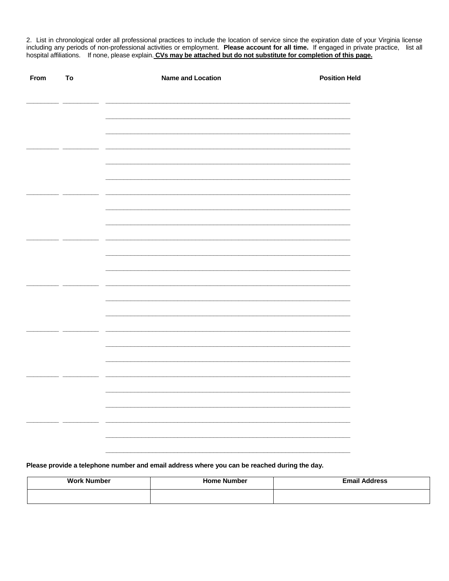2. List in chronological order all professional practices to include the location of service since the expiration date of your Virginia license including any periods of non-professional activities or employment. Please account for all time. If engaged in private practice, list all<br>hospital affiliations. If none, please explain. CVs may be attached but do not subst

| From<br>To |  | <b>Name and Location</b> | <b>Position Held</b> |
|------------|--|--------------------------|----------------------|
|            |  |                          |                      |
|            |  |                          |                      |
|            |  |                          |                      |
|            |  |                          |                      |
|            |  |                          |                      |
|            |  |                          |                      |
|            |  |                          |                      |
|            |  |                          |                      |
|            |  |                          |                      |
|            |  |                          |                      |
|            |  |                          |                      |
|            |  |                          |                      |
|            |  |                          |                      |
|            |  |                          |                      |
|            |  |                          |                      |
|            |  |                          |                      |
|            |  |                          |                      |
|            |  |                          |                      |
|            |  |                          |                      |
|            |  |                          |                      |

Please provide a telephone number and email address where you can be reached during the day.

| <b>Work Number</b> | <b>Home Number</b> | <b>Email Address</b> |
|--------------------|--------------------|----------------------|
|                    |                    |                      |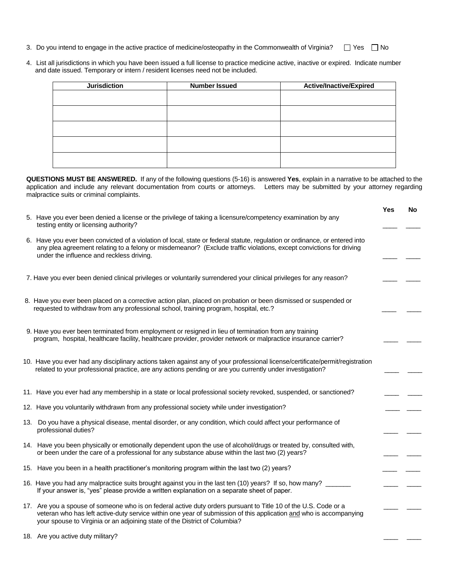- 3. Do you intend to engage in the active practice of medicine/osteopathy in the Commonwealth of Virginia?  $\square$  Yes  $\square$  No
- 4. List all jurisdictions in which you have been issued a full license to practice medicine active, inactive or expired. Indicate number and date issued. Temporary or intern / resident licenses need not be included.

**QUESTIONS MUST BE ANSWERED.** If any of the following questions (5-16) is answered **Yes**, explain in a narrative to be attached to the application and include any relevant documentation from courts or attorneys. Letters may be submitted by your attorney regarding malpractice suits or criminal complaints.

|                                                                                                                                                                                                                                                                                                                     | Yes | No |
|---------------------------------------------------------------------------------------------------------------------------------------------------------------------------------------------------------------------------------------------------------------------------------------------------------------------|-----|----|
| 5. Have you ever been denied a license or the privilege of taking a licensure/competency examination by any<br>testing entity or licensing authority?                                                                                                                                                               |     |    |
| 6. Have you ever been convicted of a violation of local, state or federal statute, regulation or ordinance, or entered into<br>any plea agreement relating to a felony or misdemeanor? (Exclude traffic violations, except convictions for driving<br>under the influence and reckless driving.                     |     |    |
| 7. Have you ever been denied clinical privileges or voluntarily surrendered your clinical privileges for any reason?                                                                                                                                                                                                |     |    |
| 8. Have you ever been placed on a corrective action plan, placed on probation or been dismissed or suspended or<br>requested to withdraw from any professional school, training program, hospital, etc.?                                                                                                            |     |    |
| 9. Have you ever been terminated from employment or resigned in lieu of termination from any training<br>program, hospital, healthcare facility, healthcare provider, provider network or malpractice insurance carrier?                                                                                            |     |    |
| 10. Have you ever had any disciplinary actions taken against any of your professional license/certificate/permit/registration<br>related to your professional practice, are any actions pending or are you currently under investigation?                                                                           |     |    |
| 11. Have you ever had any membership in a state or local professional society revoked, suspended, or sanctioned?                                                                                                                                                                                                    |     |    |
| 12. Have you voluntarily withdrawn from any professional society while under investigation?                                                                                                                                                                                                                         |     |    |
| 13. Do you have a physical disease, mental disorder, or any condition, which could affect your performance of<br>professional duties?                                                                                                                                                                               |     |    |
| 14. Have you been physically or emotionally dependent upon the use of alcohol/drugs or treated by, consulted with,<br>or been under the care of a professional for any substance abuse within the last two (2) years?                                                                                               |     |    |
| 15. Have you been in a health practitioner's monitoring program within the last two (2) years?                                                                                                                                                                                                                      |     |    |
| 16. Have you had any malpractice suits brought against you in the last ten (10) years? If so, how many?<br>If your answer is, "yes" please provide a written explanation on a separate sheet of paper.                                                                                                              |     |    |
| 17. Are you a spouse of someone who is on federal active duty orders pursuant to Title 10 of the U.S. Code or a<br>veteran who has left active-duty service within one year of submission of this application and who is accompanying<br>your spouse to Virginia or an adjoining state of the District of Columbia? |     |    |
|                                                                                                                                                                                                                                                                                                                     |     |    |

18. Are you active duty military?